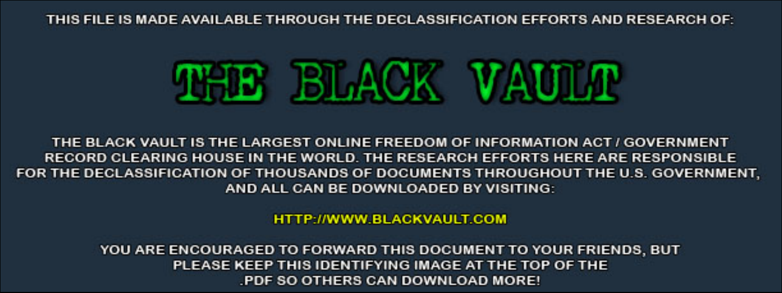THIS FILE IS MADE AVAILABLE THROUGH THE DECLASSIFICATION EFFORTS AND RESEARCH OF:



THE BLACK VAULT IS THE LARGEST ONLINE FREEDOM OF INFORMATION ACT / GOVERNMENT RECORD CLEARING HOUSE IN THE WORLD. THE RESEARCH EFFORTS HERE ARE RESPONSIBLE FOR THE DECLASSIFICATION OF THOUSANDS OF DOCUMENTS THROUGHOUT THE U.S. GOVERNMENT, AND ALL CAN BE DOWNLOADED BY VISITING:

**HTTP://WWW.BLACKVAULT.COM** 

YOU ARE ENCOURAGED TO FORWARD THIS DOCUMENT TO YOUR FRIENDS, BUT PLEASE KEEP THIS IDENTIFYING IMAGE AT THE TOP OF THE PDF SO OTHERS CAN DOWNLOAD MORE!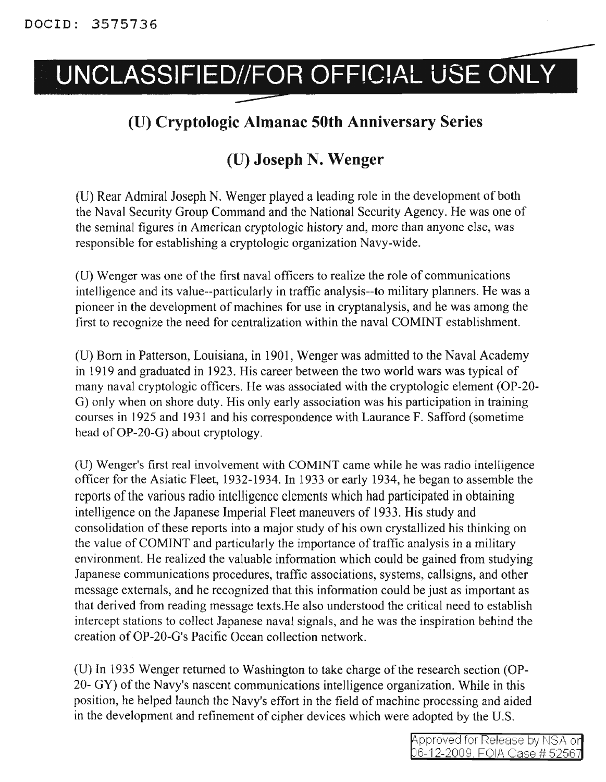## UNCLASSIFIED//FOR OFFICIAL USE ONLY

## **(U) Cryptologic Almanac 50th Anniversary Series**

## **(U) Joseph N. Wenger**

CU) Rear Admiral Joseph N. Wenger played a leading role in the development of both the Naval Security Group Command and the National Security Agency. He was one of the seminal figures in American cryptologic history and, more than anyone else, was responsible for establishing a cryptologic organization Navy-wide.

(U) Wenger was one of the first naval officers to realize the role of communications intelligence and its value--particularly in traffic analysis--to military planners. He was a pioneer in the development of machines for use in cryptanalysis, and he was among the first to recognize the need for centralization within the naval COMINT establishment.

(V) Born in Patterson, Louisiana, in 1901, Wenger was admitted to the Naval Academy in 1919 and graduated in 1923. His career between the two world wars was typical of many naval cryptologic officers. He was associated with the cryptologic element (OP-20- G) only when on shore duty. His only early association was his participation in training courses in 1925 and 1931 and his correspondence with Laurance F. Safford (sometime head of OP-20-G) about cryptology.

(D) Wenger's first real involvement with COMINT came while he was radio intelligence officer for the Asiatic Fleet, 1932-1934. In 1933 or early 1934, he began to assemble the reports of the various radio intelligence elements which had participated in obtaining intelligence on the Japanese Imperial Fleet maneuvers of 1933. His study and consolidation of these reports into a major study of his own crystallized his thinking on the value of COMINT and particularly the importance of traffic analysis in a military environment. He realized the valuable information which could be gained from studying Japanese communications procedures, traffic associations, systems, callsigns, and other message externals, and he recognized that this information could be just as important as that derived from reading message texts.He also understood the critical need to establish intercept stations to collect Japanese naval signals, and he was the inspiration behind the creation ofOP-20-G's Pacific Ocean collection network.

(U) In 1935 Wenger returned to Washington to take charge of the research section (OP-20- GY) of the Navy's nascent communications intelligence organization. While in this position, he helped launch the Navy's effort in the field of machine processing and aided in the development and refinement of cipher devices which were adopted by the *V.S.*